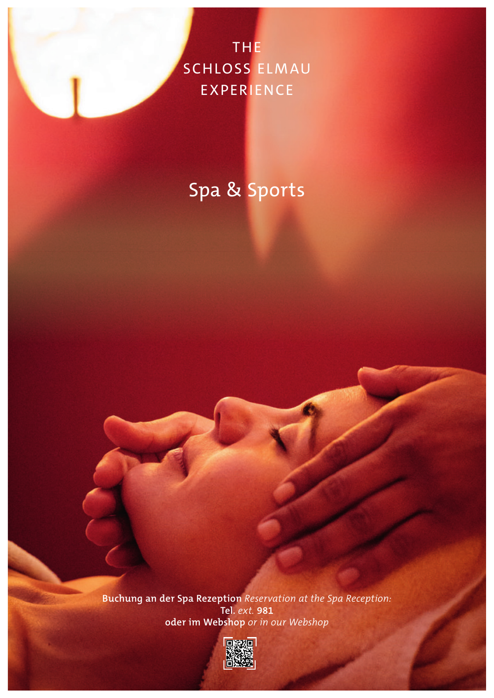THE SCHLOSS ELMAU **EXPERIENCE** 

# Spa & Sports

**Buchung an der Spa Rezeption** *Reservation at the Spa Reception:* **Tel.** *ext.* **981 oder im Webshop** *or in our Webshop*

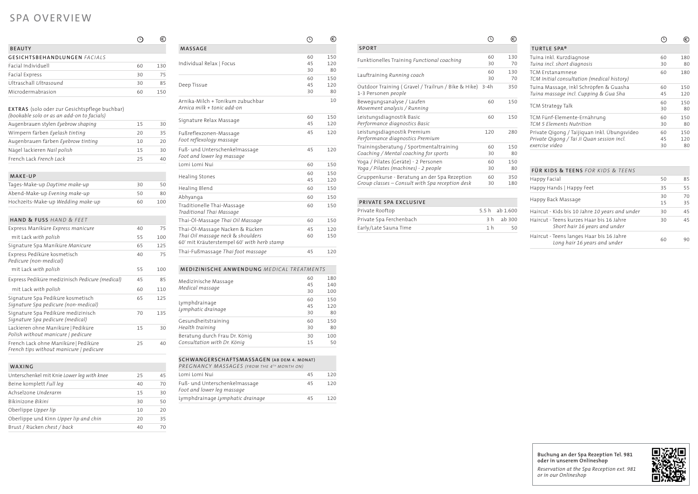|                                                                                                 | L        | €          |
|-------------------------------------------------------------------------------------------------|----------|------------|
| <b>SPORT</b>                                                                                    |          |            |
| Funktionelles Training Functional coaching                                                      | 60<br>30 | 130<br>70  |
| Lauftraining Running coach                                                                      | 60<br>30 | 130<br>70  |
| Outdoor Training (Gravel / Trailrun / Bike & Hike)<br>1-3 Personen people                       | $3-4h$   | 350        |
| Bewegungsanalyse / Laufen<br>Movement analysis / Running                                        | 60       | 150        |
| Leistungsdiagnostik Basic<br>Performance diagnostics Basic                                      | 60       | 150        |
| Leistungsdiagnostik Premium<br>Performance diagnostics Premium                                  | 120      | 280        |
| Trainingsberatung / Sportmentaltraining<br>Coaching / Mental coaching for sports                | 60<br>30 | 150<br>80  |
| Yoga / Pilates (Geräte) - 2 Personen<br>Yoga / Pilates (machines) - 2 people                    | 60<br>30 | 150<br>80  |
| Gruppenkurse - Beratung an der Spa Rezeption<br>Group classes – Consult with Spa reception desk | 60<br>30 | 350<br>180 |

#### **PRIVATE SPA EXCLUSIVE**

| Private Rooftop         |     | 5.5 h ab $1.600$ |
|-------------------------|-----|------------------|
| Private Spa Ferchenbach |     | 3 h ab 300       |
| Early/Late Sauna Time   | 1 h | 50               |

**Buchung an der Spa Rezeption Tel. 981 oder in unserem Onlineshop** *Reservation at the Spa Reception ext. 981 or in our Onlineshop*



|                                                                                                                    | Œ,             | ⊜                |
|--------------------------------------------------------------------------------------------------------------------|----------------|------------------|
| <b>MASSAGE</b>                                                                                                     |                |                  |
| Individual Relax   Focus                                                                                           | 60<br>45<br>30 | 150<br>120<br>80 |
| Deep Tissue                                                                                                        | 60<br>45<br>30 | 150<br>120<br>80 |
| Arnika-Milch + Tonikum zubuchbar<br>Arnica milk + tonic add-on                                                     |                | 10               |
| Signature Relax Massage                                                                                            | 60<br>45       | 150<br>120       |
| Fußreflexzonen-Massage<br>Foot reflexology massage                                                                 | 45             | 120              |
| Fuß- und Unterschenkelmassage<br>Foot and lower leg massage                                                        | 45             | 120              |
| Lomi Lomi Nui                                                                                                      | 60             | 150              |
| Healing Stones                                                                                                     | 60<br>45       | 150<br>120       |
| Healing Blend                                                                                                      | 60             | 150              |
| Abhyanga                                                                                                           | 60             | 150              |
| Traditionelle Thai-Massage<br>Traditional Thai Massage                                                             | 60             | 150              |
| Thai-Öl-Massage Thai Oil Massage                                                                                   | 60             | 150              |
| Thai-Öl-Massage Nacken & Rücken<br>Thai Oil massage neck & shoulders<br>60' mit Kräuterstempel 60' with herb stamp | 45<br>60       | 120<br>150       |
| Thai-Fußmassage Thai foot massage                                                                                  | 45             | 120              |

# **MEDIZINISCHE ANWENDUNG** *MEDICAL TREATMENTS*

| Medizinische Massage          | 60<br>45 | 180<br>140 |
|-------------------------------|----------|------------|
| Medical massage               | 30       | 100        |
| Lymphdrainage                 | 60       | 150        |
|                               | 45       | 120        |
| Lymphatic drainage            | 30       | 80         |
| Gesundheitstraining           | 60       | 150        |
| Health training               | 30       | 80         |
| Beratung durch Frau Dr. König | 30       | 100        |
| Consultation with Dr. König   | 15       | 50         |
|                               |          |            |

# **SCHWANGERSCHAFTSMASSAGEN (AB DEM 4. MONAT)**

| PREGNANCY MASSAGES (FROM THE 4TH MONTH ON)                  |    |     |
|-------------------------------------------------------------|----|-----|
| Lomi Lomi Nui                                               | 45 | 120 |
| Fuß- und Unterschenkelmassage<br>Foot and lower leg massage | 45 | 120 |
| Lymphdrainage Lymphatic drainage                            | 45 |     |

# SPA OVERVIEW

| 60 | 180 |
|----|-----|
| 30 | 80  |
| 60 | 180 |
| 60 | 150 |
| 45 | 120 |
| 60 | 150 |
| 30 | 80  |
| 60 | 150 |
| 30 | 80  |
| 60 | 150 |
| 45 | 120 |
| 30 | 80  |
|    |     |

|                                                                                                    |    | €   |
|----------------------------------------------------------------------------------------------------|----|-----|
| <b>BEAUTY</b>                                                                                      |    |     |
| <b>GESICHTSBEHANDLUNGEN FACIALS</b>                                                                |    |     |
| Facial Individuell                                                                                 | 60 | 130 |
| Facial Express                                                                                     | 30 | 75  |
| Ultraschall Ultrasound                                                                             | 30 | 85  |
| Microdermabrasion                                                                                  | 60 | 150 |
| <b>EXTRAS</b> (solo oder zur Gesichtspflege buchbar)<br>(bookable solo or as an add-on to facials) |    |     |
| Augenbrauen stylen Eyebrow shaping                                                                 | 15 | 30  |
| Wimpern färben Eyelash tinting                                                                     | 20 | 35  |
| Augenbrauen färben Eyebrow tinting                                                                 | 10 | 20  |
| Nägel lackieren Nail polish                                                                        | 15 | 30  |

French Lack *French Lack* 25 40

| MAKE-UP                                                                         |    |     |
|---------------------------------------------------------------------------------|----|-----|
| Tages-Make-up Daytime make-up                                                   | 30 | 50  |
| Abend-Make-up Evening make-up                                                   | 50 | 80  |
| Hochzeits-Make-up Wedding make-up                                               | 60 | 100 |
|                                                                                 |    |     |
| <b>HAND &amp; FUSS HAND &amp; FFFT</b>                                          |    |     |
| Express Maniküre Express manicure                                               | 40 | 75  |
| mit Lack with polish                                                            | 55 | 100 |
| Signature Spa Maniküre Manicure                                                 | 65 | 125 |
| Express Pediküre kosmetisch<br>Pedicure (non-medical)                           | 40 | 75  |
| mit Lack with polish                                                            | 55 | 100 |
| Express Pediküre medizinisch Pedicure (medical)                                 | 45 | 85  |
| mit Lack with polish                                                            | 60 | 110 |
| Signature Spa Pediküre kosmetisch<br>Signature Spa pedicure (non-medical)       | 65 | 125 |
| Signature Spa Pediküre medizinisch<br>Signature Spa pedicure (medical)          | 70 | 135 |
| Lackieren ohne Maniküre   Pediküre<br>Polish without manicure   pedicure        | 15 | 30  |
| French Lack ohne Maniküre   Pediküre<br>French tips without manicure   pedicure | 25 | 40  |
|                                                                                 |    |     |

# **WAXING**

| Unterschenkel mit Knie Lower leg with knee | 25 | 45 |
|--------------------------------------------|----|----|
| Beine komplett Full leg                    | 40 | 70 |
| Achselzone Underarm                        | 15 | 30 |
| Bikinizone Bikini                          | 30 | 50 |
| Oberlippe Upper lip                        | 10 | 20 |
| Oberlippe und Kinn Upper lip and chin      | 20 | 35 |
| Brust / Rücken chest / back                | 40 | 70 |
|                                            |    |    |

| FÜR KIDS & TEENS FOR KIDS & TEENS                                         |          |          |
|---------------------------------------------------------------------------|----------|----------|
| Happy Facial                                                              | 50       | 85       |
| Happy Hands   Happy Feet                                                  | 35       | 55       |
| Happy Back Massage                                                        | 30<br>15 | 70<br>35 |
| Haircut - Kids bis 10 Jahre 10 years and under                            | 30       | 45       |
| Haircut - Teens kurzes Haar bis 16 Jahre<br>Short hair 16 years and under | 30       | 45       |
| Haircut - Teens langes Haar bis 16 Jahre<br>Long hair 16 years and under  | 60       | 90       |